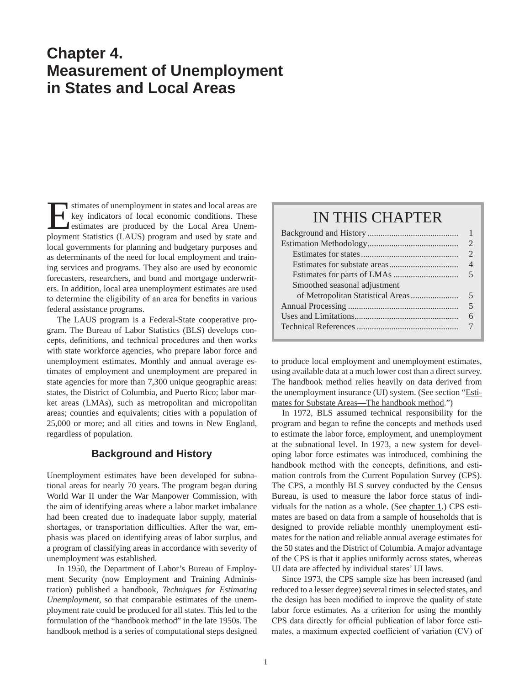# **Chapter 4. Measurement of Unemployment in States and Local Areas**

Institutes of unemployment in states and local areas are<br>level indicators of local economic conditions. These<br>estimates are produced by the Local Area Unem-<br>ployment Statistics (LAUS) program and used by state and key indicators of local economic conditions. These estimates are produced by the Local Area Unemployment Statistics (LAUS) program and used by state and local governments for planning and budgetary purposes and as determinants of the need for local employment and training services and programs. They also are used by economic forecasters, researchers, and bond and mortgage underwriters. In addition, local area unemployment estimates are used to determine the eligibility of an area for benefits in various federal assistance programs.

The LAUS program is a Federal-State cooperative program. The Bureau of Labor Statistics (BLS) develops concepts, definitions, and technical procedures and then works with state workforce agencies, who prepare labor force and unemployment estimates. Monthly and annual average estimates of employment and unemployment are prepared in state agencies for more than 7,300 unique geographic areas: states, the District of Columbia, and Puerto Rico; labor market areas (LMAs), such as metropolitan and micropolitan areas; counties and equivalents; cities with a population of 25,000 or more; and all cities and towns in New England, regardless of population.

### **Background and History**

Unemployment estimates have been developed for subnational areas for nearly 70 years. The program began during World War II under the War Manpower Commission, with the aim of identifying areas where a labor market imbalance had been created due to inadequate labor supply, material shortages, or transportation difficulties. After the war, emphasis was placed on identifying areas of labor surplus, and a program of classifying areas in accordance with severity of unemployment was established.

In 1950, the Department of Labor's Bureau of Employment Security (now Employment and Training Administration) published a handbook, *Techniques for Estimating Unemployment*, so that comparable estimates of the unemployment rate could be produced for all states. This led to the formulation of the "handbook method" in the late 1950s. The handbook method is a series of computational steps designed

## IN THIS CHAPTER

|                              | 2                           |
|------------------------------|-----------------------------|
|                              | $\mathcal{D}_{\mathcal{L}}$ |
|                              | 4                           |
|                              | $\overline{\mathcal{L}}$    |
| Smoothed seasonal adjustment |                             |
|                              | $\overline{\mathcal{L}}$    |
|                              | 5                           |
|                              |                             |
|                              |                             |

to produce local employment and unemployment estimates, using available data at a much lower cost than a direct survey. The handbook method relies heavily on data derived from the unemployment insurance (UI) system. (See section "Estimates for Substate Areas—The handbook method.")

In 1972, BLS assumed technical responsibility for the program and began to refine the concepts and methods used to estimate the labor force, employment, and unemployment at the subnational level. In 1973, a new system for developing labor force estimates was introduced, combining the handbook method with the concepts, definitions, and estimation controls from the Current Population Survey (CPS). The CPS, a monthly BLS survey conducted by the Census Bureau, is used to measure the labor force status of individuals for the nation as a whole. (See chapter 1.) CPS estimates are based on data from a sample of households that is designed to provide reliable monthly unemployment estimates for the nation and reliable annual average estimates for the 50 states and the District of Columbia. A major advantage of the CPS is that it applies uniformly across states, whereas UI data are affected by individual states' UI laws.

Since 1973, the CPS sample size has been increased (and reduced to a lesser degree) several times in selected states, and the design has been modified to improve the quality of state labor force estimates. As a criterion for using the monthly CPS data directly for official publication of labor force estimates, a maximum expected coefficient of variation (CV) of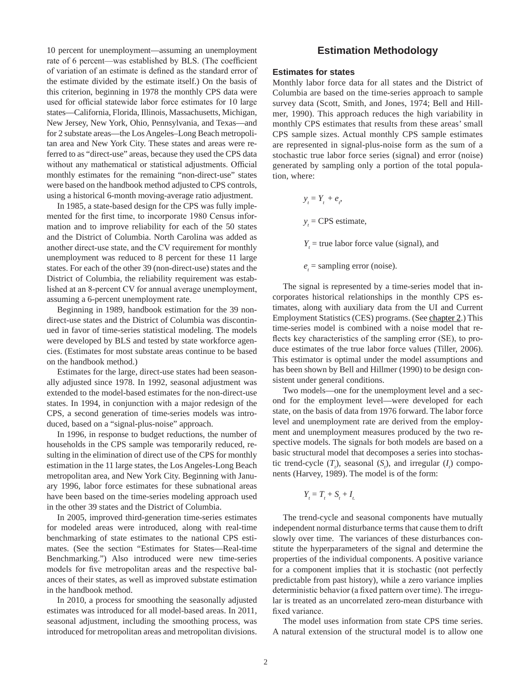10 percent for unemployment—assuming an unemployment rate of 6 percent—was established by BLS. (The coefficient of variation of an estimate is defined as the standard error of the estimate divided by the estimate itself.) On the basis of this criterion, beginning in 1978 the monthly CPS data were used for official statewide labor force estimates for 10 large states—California, Florida, Illinois, Massachusetts, Michigan, New Jersey, New York, Ohio, Pennsylvania, and Texas—and for 2 substate areas—the Los Angeles–Long Beach metropolitan area and New York City. These states and areas were referred to as "direct-use" areas, because they used the CPS data without any mathematical or statistical adjustments. Official monthly estimates for the remaining "non-direct-use" states were based on the handbook method adjusted to CPS controls, using a historical 6-month moving-average ratio adjustment.

In 1985, a state-based design for the CPS was fully implemented for the first time, to incorporate 1980 Census information and to improve reliability for each of the 50 states and the District of Columbia. North Carolina was added as another direct-use state, and the CV requirement for monthly unemployment was reduced to 8 percent for these 11 large states. For each of the other 39 (non-direct-use) states and the District of Columbia, the reliability requirement was established at an 8-percent CV for annual average unemployment, assuming a 6-percent unemployment rate.

Beginning in 1989, handbook estimation for the 39 nondirect-use states and the District of Columbia was discontinued in favor of time-series statistical modeling. The models were developed by BLS and tested by state workforce agencies. (Estimates for most substate areas continue to be based on the handbook method.)

Estimates for the large, direct-use states had been seasonally adjusted since 1978. In 1992, seasonal adjustment was extended to the model-based estimates for the non-direct-use states. In 1994, in conjunction with a major redesign of the CPS, a second generation of time-series models was introduced, based on a "signal-plus-noise" approach.

In 1996, in response to budget reductions, the number of households in the CPS sample was temporarily reduced, resulting in the elimination of direct use of the CPS for monthly estimation in the 11 large states, the Los Angeles-Long Beach metropolitan area, and New York City. Beginning with January 1996, labor force estimates for these subnational areas have been based on the time-series modeling approach used in the other 39 states and the District of Columbia.

In 2005, improved third-generation time-series estimates for modeled areas were introduced, along with real-time benchmarking of state estimates to the national CPS estimates. (See the section "Estimates for States—Real-time Benchmarking.") Also introduced were new time-series models for five metropolitan areas and the respective balances of their states, as well as improved substate estimation in the handbook method.

In 2010, a process for smoothing the seasonally adjusted estimates was introduced for all model-based areas. In 2011, seasonal adjustment, including the smoothing process, was introduced for metropolitan areas and metropolitan divisions.

### **Estimation Methodology**

#### **Estimates for states**

Monthly labor force data for all states and the District of Columbia are based on the time-series approach to sample survey data (Scott, Smith, and Jones, 1974; Bell and Hillmer, 1990). This approach reduces the high variability in monthly CPS estimates that results from these areas' small CPS sample sizes. Actual monthly CPS sample estimates are represented in signal-plus-noise form as the sum of a stochastic true labor force series (signal) and error (noise) generated by sampling only a portion of the total population, where:

> $y_t = Y_t + e_t$  $y_t$  = CPS estimate,  $Y_t$  = true labor force value (signal), and

 $e_t$  = sampling error (noise).

The signal is represented by a time-series model that incorporates historical relationships in the monthly CPS estimates, along with auxiliary data from the UI and Current Employment Statistics (CES) programs. (See chapter 2.) This time-series model is combined with a noise model that reflects key characteristics of the sampling error (SE), to produce estimates of the true labor force values (Tiller, 2006). This estimator is optimal under the model assumptions and has been shown by Bell and Hillmer (1990) to be design consistent under general conditions.

Two models—one for the unemployment level and a second for the employment level—were developed for each state, on the basis of data from 1976 forward. The labor force level and unemployment rate are derived from the employment and unemployment measures produced by the two respective models. The signals for both models are based on a basic structural model that decomposes a series into stochastic trend-cycle  $(T_i)$ , seasonal  $(S_i)$ , and irregular  $(I_i)$  components (Harvey, 1989). The model is of the form:

$$
Y_t = T_t + S_t + I_t
$$

The trend-cycle and seasonal components have mutually independent normal disturbance terms that cause them to drift slowly over time. The variances of these disturbances constitute the hyperparameters of the signal and determine the properties of the individual components. A positive variance for a component implies that it is stochastic (not perfectly predictable from past history), while a zero variance implies deterministic behavior (a fixed pattern over time). The irregular is treated as an uncorrelated zero-mean disturbance with fixed variance.

The model uses information from state CPS time series. A natural extension of the structural model is to allow one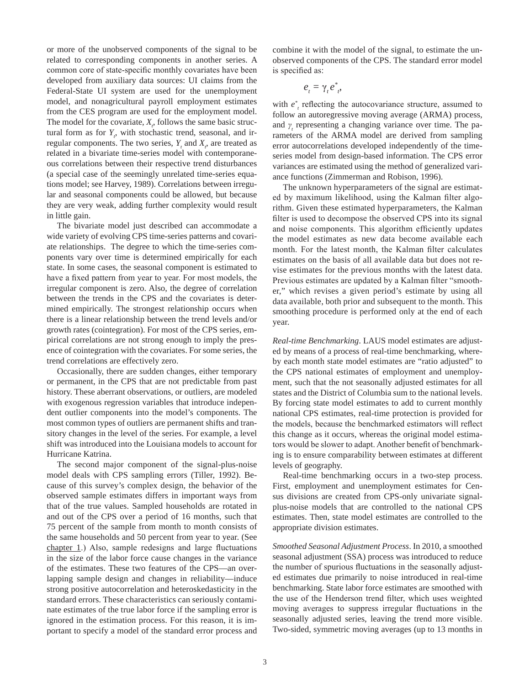or more of the unobserved components of the signal to be related to corresponding components in another series. A common core of state-specific monthly covariates have been developed from auxiliary data sources: UI claims from the Federal-State UI system are used for the unemployment model, and nonagricultural payroll employment estimates from the CES program are used for the employment model. The model for the covariate,  $X_i$ , follows the same basic structural form as for  $Y_i$ , with stochastic trend, seasonal, and irregular components. The two series,  $Y_t$  and  $X_t$ , are treated as related in a bivariate time-series model with contemporaneous correlations between their respective trend disturbances (a special case of the seemingly unrelated time-series equations model; see Harvey, 1989). Correlations between irregular and seasonal components could be allowed, but because they are very weak, adding further complexity would result in little gain.

The bivariate model just described can accommodate a wide variety of evolving CPS time-series patterns and covariate relationships. The degree to which the time-series components vary over time is determined empirically for each state. In some cases, the seasonal component is estimated to have a fixed pattern from year to year. For most models, the irregular component is zero. Also, the degree of correlation between the trends in the CPS and the covariates is determined empirically. The strongest relationship occurs when there is a linear relationship between the trend levels and/or growth rates (cointegration). For most of the CPS series, empirical correlations are not strong enough to imply the presence of cointegration with the covariates. For some series, the trend correlations are effectively zero.

Occasionally, there are sudden changes, either temporary or permanent, in the CPS that are not predictable from past history. These aberrant observations, or outliers, are modeled with exogenous regression variables that introduce independent outlier components into the model's components. The most common types of outliers are permanent shifts and transitory changes in the level of the series. For example, a level shift was introduced into the Louisiana models to account for Hurricane Katrina.

The second major component of the signal-plus-noise model deals with CPS sampling errors (Tiller, 1992). Because of this survey's complex design, the behavior of the observed sample estimates differs in important ways from that of the true values. Sampled households are rotated in and out of the CPS over a period of 16 months, such that 75 percent of the sample from month to month consists of the same households and 50 percent from year to year. (See chapter 1.) Also, sample redesigns and large fluctuations in the size of the labor force cause changes in the variance of the estimates. These two features of the CPS—an overlapping sample design and changes in reliability—induce strong positive autocorrelation and heteroskedasticity in the standard errors. These characteristics can seriously contaminate estimates of the true labor force if the sampling error is ignored in the estimation process. For this reason, it is important to specify a model of the standard error process and combine it with the model of the signal, to estimate the unobserved components of the CPS. The standard error model is specified as:

$$
e_{t}=\gamma_{t}e_{t}^{*},
$$

with  $e^*$ <sub>t</sub> reflecting the autocovariance structure, assumed to follow an autoregressive moving average (ARMA) process, and  $\gamma$ <sub>t</sub> representing a changing variance over time. The parameters of the ARMA model are derived from sampling error autocorrelations developed independently of the timeseries model from design-based information. The CPS error variances are estimated using the method of generalized variance functions (Zimmerman and Robison, 1996).

The unknown hyperparameters of the signal are estimated by maximum likelihood, using the Kalman filter algorithm. Given these estimated hyperparameters, the Kalman filter is used to decompose the observed CPS into its signal and noise components. This algorithm efficiently updates the model estimates as new data become available each month. For the latest month, the Kalman filter calculates estimates on the basis of all available data but does not revise estimates for the previous months with the latest data. Previous estimates are updated by a Kalman filter "smoother," which revises a given period's estimate by using all data available, both prior and subsequent to the month. This smoothing procedure is performed only at the end of each year.

*Real-time Benchmarking*. LAUS model estimates are adjusted by means of a process of real-time benchmarking, whereby each month state model estimates are "ratio adjusted" to the CPS national estimates of employment and unemployment, such that the not seasonally adjusted estimates for all states and the District of Columbia sum to the national levels. By forcing state model estimates to add to current monthly national CPS estimates, real-time protection is provided for the models, because the benchmarked estimators will reflect this change as it occurs, whereas the original model estimators would be slower to adapt. Another benefit of benchmarking is to ensure comparability between estimates at different levels of geography.

Real-time benchmarking occurs in a two-step process. First, employment and unemployment estimates for Census divisions are created from CPS-only univariate signalplus-noise models that are controlled to the national CPS estimates. Then, state model estimates are controlled to the appropriate division estimates.

*Smoothed Seasonal Adjustment Process*. In 2010, a smoothed seasonal adjustment (SSA) process was introduced to reduce the number of spurious fluctuations in the seasonally adjusted estimates due primarily to noise introduced in real-time benchmarking. State labor force estimates are smoothed with the use of the Henderson trend filter, which uses weighted moving averages to suppress irregular fluctuations in the seasonally adjusted series, leaving the trend more visible. Two-sided, symmetric moving averages (up to 13 months in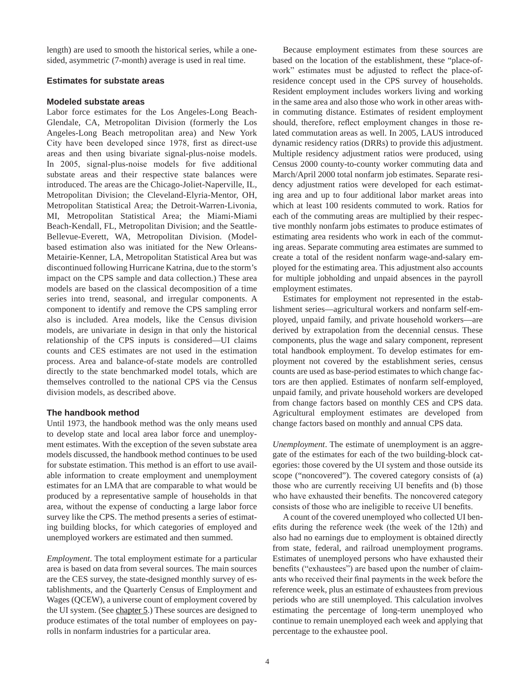length) are used to smooth the historical series, while a onesided, asymmetric (7-month) average is used in real time.

#### **Estimates for substate areas**

#### **Modeled substate areas**

Labor force estimates for the Los Angeles-Long Beach-Glendale, CA, Metropolitan Division (formerly the Los Angeles-Long Beach metropolitan area) and New York City have been developed since 1978, first as direct-use areas and then using bivariate signal-plus-noise models. In 2005, signal-plus-noise models for five additional substate areas and their respective state balances were introduced. The areas are the Chicago-Joliet-Naperville, IL, Metropolitan Division; the Cleveland-Elyria-Mentor, OH, Metropolitan Statistical Area; the Detroit-Warren-Livonia, MI, Metropolitan Statistical Area; the Miami-Miami Beach-Kendall, FL, Metropolitan Division; and the Seattle-Bellevue-Everett, WA, Metropolitan Division. (Modelbased estimation also was initiated for the New Orleans-Metairie-Kenner, LA, Metropolitan Statistical Area but was discontinued following Hurricane Katrina, due to the storm's impact on the CPS sample and data collection.) These area models are based on the classical decomposition of a time series into trend, seasonal, and irregular components. A component to identify and remove the CPS sampling error also is included. Area models, like the Census division models, are univariate in design in that only the historical relationship of the CPS inputs is considered—UI claims counts and CES estimates are not used in the estimation process. Area and balance-of-state models are controlled directly to the state benchmarked model totals, which are themselves controlled to the national CPS via the Census division models, as described above.

#### **The handbook method**

Until 1973, the handbook method was the only means used to develop state and local area labor force and unemployment estimates. With the exception of the seven substate area models discussed, the handbook method continues to be used for substate estimation. This method is an effort to use available information to create employment and unemployment estimates for an LMA that are comparable to what would be produced by a representative sample of households in that area, without the expense of conducting a large labor force survey like the CPS. The method presents a series of estimating building blocks, for which categories of employed and unemployed workers are estimated and then summed.

*Employment*. The total employment estimate for a particular area is based on data from several sources. The main sources are the CES survey, the state-designed monthly survey of establishments, and the Quarterly Census of Employment and Wages (QCEW), a universe count of employment covered by the UI system. (See chapter 5.) These sources are designed to produce estimates of the total number of employees on payrolls in nonfarm industries for a particular area.

Because employment estimates from these sources are based on the location of the establishment, these "place-ofwork" estimates must be adjusted to reflect the place-ofresidence concept used in the CPS survey of households. Resident employment includes workers living and working in the same area and also those who work in other areas within commuting distance. Estimates of resident employment should, therefore, reflect employment changes in those related commutation areas as well. In 2005, LAUS introduced dynamic residency ratios (DRRs) to provide this adjustment. Multiple residency adjustment ratios were produced, using Census 2000 county-to-county worker commuting data and March/April 2000 total nonfarm job estimates. Separate residency adjustment ratios were developed for each estimating area and up to four additional labor market areas into which at least 100 residents commuted to work. Ratios for each of the commuting areas are multiplied by their respective monthly nonfarm jobs estimates to produce estimates of estimating area residents who work in each of the commuting areas. Separate commuting area estimates are summed to create a total of the resident nonfarm wage-and-salary employed for the estimating area. This adjustment also accounts for multiple jobholding and unpaid absences in the payroll employment estimates.

Estimates for employment not represented in the establishment series—agricultural workers and nonfarm self-employed, unpaid family, and private household workers—are derived by extrapolation from the decennial census. These components, plus the wage and salary component, represent total handbook employment. To develop estimates for employment not covered by the establishment series, census counts are used as base-period estimates to which change factors are then applied. Estimates of nonfarm self-employed, unpaid family, and private household workers are developed from change factors based on monthly CES and CPS data. Agricultural employment estimates are developed from change factors based on monthly and annual CPS data.

*Unemployment*. The estimate of unemployment is an aggregate of the estimates for each of the two building-block categories: those covered by the UI system and those outside its scope ("noncovered"). The covered category consists of (a) those who are currently receiving UI benefits and (b) those who have exhausted their benefits. The noncovered category consists of those who are ineligible to receive UI benefits.

A count of the covered unemployed who collected UI benefits during the reference week (the week of the 12th) and also had no earnings due to employment is obtained directly from state, federal, and railroad unemployment programs. Estimates of unemployed persons who have exhausted their benefits ("exhaustees") are based upon the number of claimants who received their final payments in the week before the reference week, plus an estimate of exhaustees from previous periods who are still unemployed. This calculation involves estimating the percentage of long-term unemployed who continue to remain unemployed each week and applying that percentage to the exhaustee pool.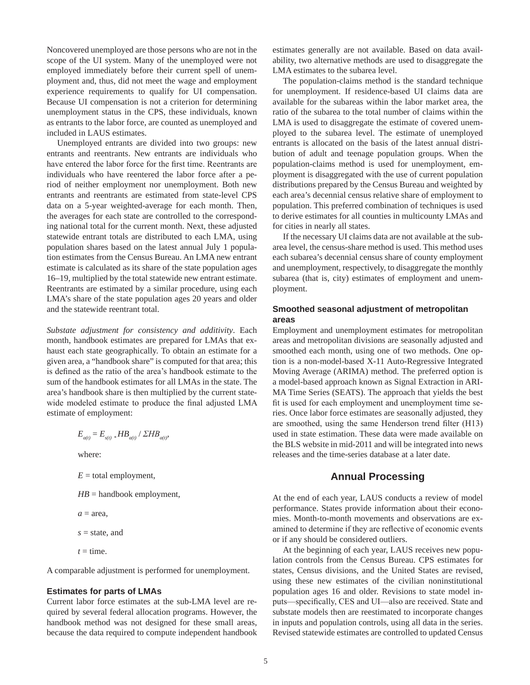Noncovered unemployed are those persons who are not in the scope of the UI system. Many of the unemployed were not employed immediately before their current spell of unemployment and, thus, did not meet the wage and employment experience requirements to qualify for UI compensation. Because UI compensation is not a criterion for determining unemployment status in the CPS, these individuals, known as entrants to the labor force, are counted as unemployed and included in LAUS estimates.

Unemployed entrants are divided into two groups: new entrants and reentrants. New entrants are individuals who have entered the labor force for the first time. Reentrants are individuals who have reentered the labor force after a period of neither employment nor unemployment. Both new entrants and reentrants are estimated from state-level CPS data on a 5-year weighted-average for each month. Then, the averages for each state are controlled to the corresponding national total for the current month. Next, these adjusted statewide entrant totals are distributed to each LMA, using population shares based on the latest annual July 1 population estimates from the Census Bureau. An LMA new entrant estimate is calculated as its share of the state population ages 16–19, multiplied by the total statewide new entrant estimate. Reentrants are estimated by a similar procedure, using each LMA's share of the state population ages 20 years and older and the statewide reentrant total.

*Substate adjustment for consistency and additivity*. Each month, handbook estimates are prepared for LMAs that exhaust each state geographically. To obtain an estimate for a given area, a "handbook share" is computed for that area; this is defined as the ratio of the area's handbook estimate to the sum of the handbook estimates for all LMAs in the state. The area's handbook share is then multiplied by the current statewide modeled estimate to produce the final adjusted LMA estimate of employment:

$$
E_{a(t)} = E_{s(t)} * HB_{a(t)} / \Sigma HB_{a(t)},
$$
  
where:  

$$
E = \text{total employment},
$$
  

$$
HB = \text{handbook employment},
$$
  

$$
a = \text{area},
$$
  

$$
s = \text{state, and}
$$

A comparable adjustment is performed for unemployment.

#### **Estimates for parts of LMAs**

 $t =$  time.

Current labor force estimates at the sub-LMA level are required by several federal allocation programs. However, the handbook method was not designed for these small areas, because the data required to compute independent handbook estimates generally are not available. Based on data availability, two alternative methods are used to disaggregate the LMA estimates to the subarea level.

The population-claims method is the standard technique for unemployment. If residence-based UI claims data are available for the subareas within the labor market area, the ratio of the subarea to the total number of claims within the LMA is used to disaggregate the estimate of covered unemployed to the subarea level. The estimate of unemployed entrants is allocated on the basis of the latest annual distribution of adult and teenage population groups. When the population-claims method is used for unemployment, employment is disaggregated with the use of current population distributions prepared by the Census Bureau and weighted by each area's decennial census relative share of employment to population. This preferred combination of techniques is used to derive estimates for all counties in multicounty LMAs and for cities in nearly all states.

If the necessary UI claims data are not available at the subarea level, the census-share method is used. This method uses each subarea's decennial census share of county employment and unemployment, respectively, to disaggregate the monthly subarea (that is, city) estimates of employment and unemployment.

#### **Smoothed seasonal adjustment of metropolitan areas**

Employment and unemployment estimates for metropolitan areas and metropolitan divisions are seasonally adjusted and smoothed each month, using one of two methods. One option is a non-model-based X-11 Auto-Regressive Integrated Moving Average (ARIMA) method. The preferred option is a model-based approach known as Signal Extraction in ARI-MA Time Series (SEATS). The approach that yields the best fit is used for each employment and unemployment time series. Once labor force estimates are seasonally adjusted, they are smoothed, using the same Henderson trend filter (H13) used in state estimation. These data were made available on the BLS website in mid-2011 and will be integrated into news releases and the time-series database at a later date.

#### **Annual Processing**

At the end of each year, LAUS conducts a review of model performance. States provide information about their economies. Month-to-month movements and observations are examined to determine if they are reflective of economic events or if any should be considered outliers.

At the beginning of each year, LAUS receives new population controls from the Census Bureau. CPS estimates for states, Census divisions, and the United States are revised, using these new estimates of the civilian noninstitutional population ages 16 and older. Revisions to state model inputs—specifically, CES and UI—also are received. State and substate models then are reestimated to incorporate changes in inputs and population controls, using all data in the series. Revised statewide estimates are controlled to updated Census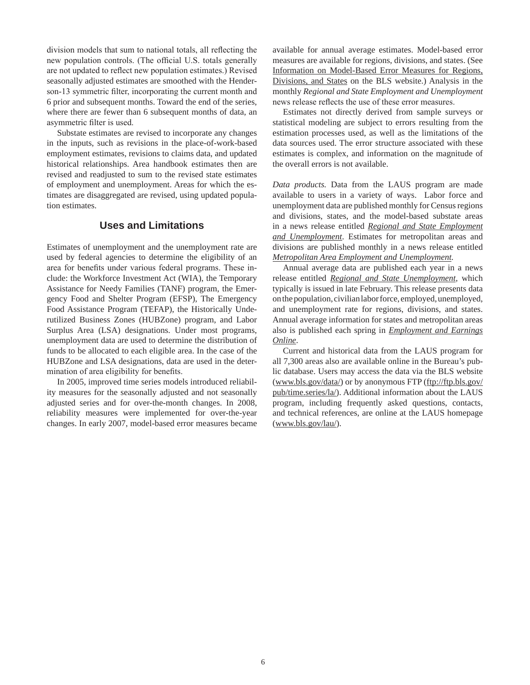division models that sum to national totals, all reflecting the new population controls. (The official U.S. totals generally are not updated to reflect new population estimates.) Revised seasonally adjusted estimates are smoothed with the Henderson-13 symmetric filter, incorporating the current month and 6 prior and subsequent months. Toward the end of the series, where there are fewer than 6 subsequent months of data, an asymmetric filter is used.

Substate estimates are revised to incorporate any changes in the inputs, such as revisions in the place-of-work-based employment estimates, revisions to claims data, and updated historical relationships. Area handbook estimates then are revised and readjusted to sum to the revised state estimates of employment and unemployment. Areas for which the estimates are disaggregated are revised, using updated population estimates.

## **Uses and Limitations**

Estimates of unemployment and the unemployment rate are used by federal agencies to determine the eligibility of an area for benefits under various federal programs. These include: the Workforce Investment Act (WIA), the Temporary Assistance for Needy Families (TANF) program, the Emergency Food and Shelter Program (EFSP), The Emergency Food Assistance Program (TEFAP), the Historically Underutilized Business Zones (HUBZone) program, and Labor Surplus Area (LSA) designations. Under most programs, unemployment data are used to determine the distribution of funds to be allocated to each eligible area. In the case of the HUBZone and LSA designations, data are used in the determination of area eligibility for benefits.

In 2005, improved time series models introduced reliability measures for the seasonally adjusted and not seasonally adjusted series and for over-the-month changes. In 2008, reliability measures were implemented for over-the-year changes. In early 2007, model-based error measures became available for annual average estimates. Model-based error measures are available for regions, divisions, and states. (See Information on Model-Based Error Measures for Regions, Divisions, and States on the BLS website.) Analysis in the monthly *Regional and State Employment and Unemployment*  news release reflects the use of these error measures.

Estimates not directly derived from sample surveys or statistical modeling are subject to errors resulting from the estimation processes used, as well as the limitations of the data sources used. The error structure associated with these estimates is complex, and information on the magnitude of the overall errors is not available.

*Data products.* Data from the LAUS program are made available to users in a variety of ways. Labor force and unemployment data are published monthly for Census regions and divisions, states, and the model-based substate areas in a news release entitled *Regional and State Employment and Unemployment*. Estimates for metropolitan areas and divisions are published monthly in a news release entitled *Metropolitan Area Employment and Unemployment.* 

Annual average data are published each year in a news release entitled *Regional and State Unemployment*, which typically is issued in late February. This release presents data on the population, civilian labor force, employed, unemployed, and unemployment rate for regions, divisions, and states. Annual average information for states and metropolitan areas also is published each spring in *Employment and Earnings Online*.

Current and historical data from the LAUS program for all 7,300 areas also are available online in the Bureau's public database. Users may access the data via the BLS website (www.bls.gov/data/) or by anonymous FTP (ftp://ftp.bls.gov/ pub/time.series/la/). Additional information about the LAUS program, including frequently asked questions, contacts, and technical references, are online at the LAUS homepage (www.bls.gov/lau/).